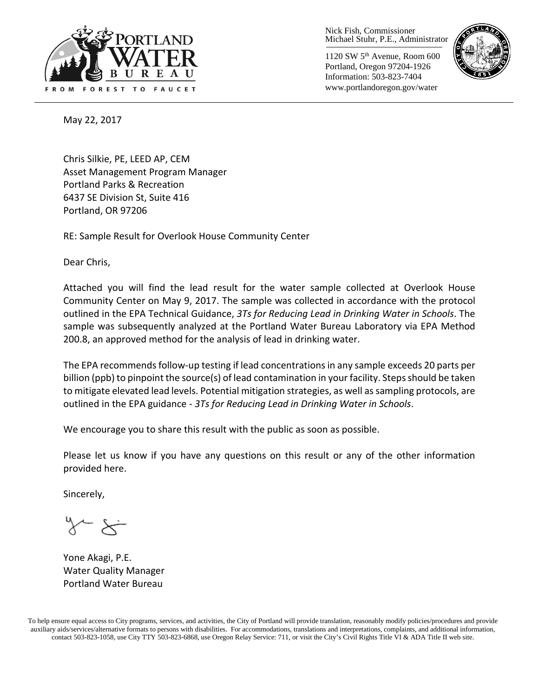

Nick Fish, Commissioner Michael Stuhr, P.E., Administrator

1120 SW 5th Avenue, Room 600 Portland, Oregon 97204-1926 Information: 503-823-7404 www.portlandoregon.gov/water



May 22, 2017

Chris Silkie, PE, LEED AP, CEM Asset Management Program Manager Portland Parks & Recreation 6437 SE Division St, Suite 416 Portland, OR 97206

RE: Sample Result for Overlook House Community Center

Dear Chris,

Attached you will find the lead result for the water sample collected at Overlook House Community Center on May 9, 2017. The sample was collected in accordance with the protocol outlined in the EPA Technical Guidance, *3Ts for Reducing Lead in Drinking Water in Schools*. The sample was subsequently analyzed at the Portland Water Bureau Laboratory via EPA Method 200.8, an approved method for the analysis of lead in drinking water.

The EPA recommends follow-up testing if lead concentrations in any sample exceeds 20 parts per billion (ppb) to pinpoint the source(s) of lead contamination in your facility. Steps should be taken to mitigate elevated lead levels. Potential mitigation strategies, as well as sampling protocols, are outlined in the EPA guidance - *3Ts for Reducing Lead in Drinking Water in Schools*.

We encourage you to share this result with the public as soon as possible.

Please let us know if you have any questions on this result or any of the other information provided here.

Sincerely,

Yone Akagi, P.E. Water Quality Manager Portland Water Bureau

To help ensure equal access to City programs, services, and activities, the City of Portland will provide translation, reasonably modify policies/procedures and provide auxiliary aids/services/alternative formats to persons with disabilities. For accommodations, translations and interpretations, complaints, and additional information, contact 503-823-1058, use City TTY 503-823-6868, use Oregon Relay Service: 711, or visi[t the City's Civil Rights Title VI & ADA Title II web site.](http://www.portlandoregon.gov/oehr/66458)